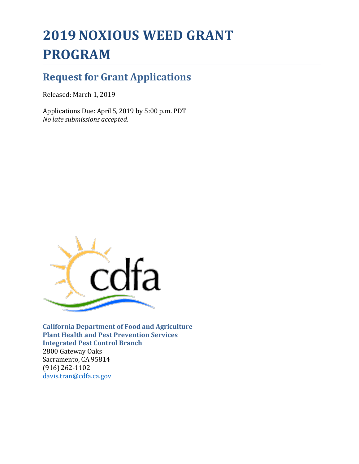# **2019 NOXIOUS WEED GRANT PROGRAM**

## **Request for Grant Applications**

Released: March 1, 2019

Applications Due: April 5, 2019 by 5:00 p.m. PDT *No late submissions accepted.*



**California Department of Food and Agriculture Plant Health and Pest Prevention Services Integrated Pest Control Branch** 2800 Gateway Oaks Sacramento, CA 95814 (916) 262-1102 [davis.tran@cdfa.ca.gov](mailto:davis.tran@cdfa.ca.gov)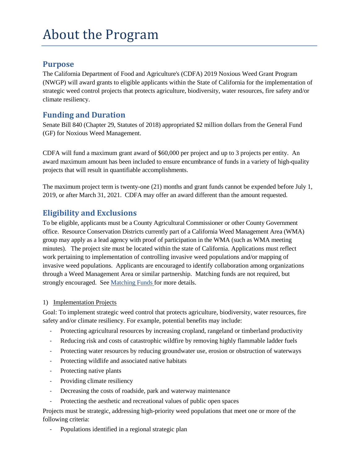### **Purpose**

The California Department of Food and Agriculture's (CDFA) 2019 Noxious Weed Grant Program (NWGP) will award grants to eligible applicants within the State of California for the implementation of strategic weed control projects that protects agriculture, biodiversity, water resources, fire safety and/or climate resiliency.

#### **Funding and Duration**

Senate Bill 840 (Chapter 29, Statutes of 2018) appropriated \$2 million dollars from the General Fund (GF) for Noxious Weed Management.

CDFA will fund a maximum grant award of \$60,000 per project and up to 3 projects per entity. An award maximum amount has been included to ensure encumbrance of funds in a variety of high-quality projects that will result in quantifiable accomplishments.

The maximum project term is twenty-one (21) months and grant funds cannot be expended before July 1, 2019, or after March 31, 2021. CDFA may offer an award different than the amount requested.

### **Eligibility and Exclusions**

To be eligible, applicants must be a County Agricultural Commissioner or other County Government office. Resource Conservation Districts currently part of a California Weed Management Area (WMA) group may apply as a lead agency with proof of participation in the WMA (such as WMA meeting minutes). The project site must be located within the state of California. Applications must reflect work pertaining to implementation of controlling invasive weed populations and/or mapping of invasive weed populations. Applicants are encouraged to identify collaboration among organizations through a Weed Management Area or similar partnership. Matching funds are not required, but strongly encouraged. See Matching Funds for more details.

#### 1) Implementation Projects

Goal: To implement strategic weed control that protects agriculture, biodiversity, water resources, fire safety and/or climate resiliency. For example, potential benefits may include:

- Protecting agricultural resources by increasing cropland, rangeland or timberland productivity
- Reducing risk and costs of catastrophic wildfire by removing highly flammable ladder fuels
- Protecting water resources by reducing groundwater use, erosion or obstruction of waterways
- Protecting wildlife and associated native habitats
- Protecting native plants
- Providing climate resiliency
- Decreasing the costs of roadside, park and waterway maintenance
- Protecting the aesthetic and recreational values of public open spaces

Projects must be strategic, addressing high-priority weed populations that meet one or more of the following criteria:

Populations identified in a regional strategic plan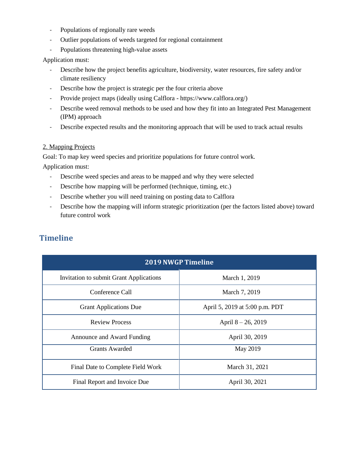- Populations of regionally rare weeds
- Outlier populations of weeds targeted for regional containment
- Populations threatening high-value assets

#### Application must:

- Describe how the project benefits agriculture, biodiversity, water resources, fire safety and/or climate resiliency
- Describe how the project is strategic per the four criteria above
- Provide project maps (ideally using Calflora https://www.calflora.org/)
- Describe weed removal methods to be used and how they fit into an Integrated Pest Management (IPM) approach
- Describe expected results and the monitoring approach that will be used to track actual results

#### 2. Mapping Projects

Goal: To map key weed species and prioritize populations for future control work.

Application must:

- Describe weed species and areas to be mapped and why they were selected
- Describe how mapping will be performed (technique, timing, etc.)
- Describe whether you will need training on posting data to Calflora
- Describe how the mapping will inform strategic prioritization (per the factors listed above) toward future control work

| <b>2019 NWGP Timeline</b>               |                                |
|-----------------------------------------|--------------------------------|
| Invitation to submit Grant Applications | March 1, 2019                  |
| Conference Call                         | March 7, 2019                  |
| <b>Grant Applications Due</b>           | April 5, 2019 at 5:00 p.m. PDT |
| <b>Review Process</b>                   | April $8 - 26$ , 2019          |
| Announce and Award Funding              | April 30, 2019                 |
| Grants Awarded                          | May 2019                       |
| Final Date to Complete Field Work       | March 31, 2021                 |
| Final Report and Invoice Due            | April 30, 2021                 |

### **Timeline**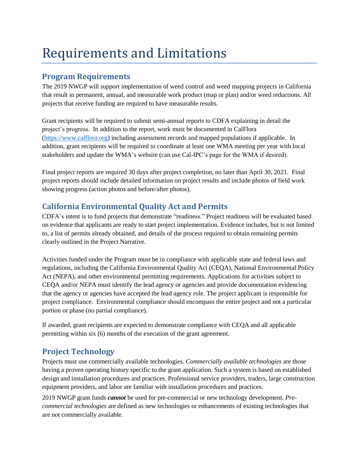## Requirements and Limitations

#### **Program Requirements**

The 2019 NWGP will support implementation of weed control and weed mapping projects in California that result in permanent, annual, and measurable work product (map or plan) and/or weed reductions. All projects that receive funding are required to have measurable results.

Grant recipients will be required to submit semi-annual reports to CDFA explaining in detail the project's progress. In addition to the report, work must be documented in CalFlora [\(https://www.calflora.org\)](https://www.calflora.org/) including assessment records and mapped populations if applicable. In addition, grant recipients will be required to coordinate at least one WMA meeting per year with local stakeholders and update the WMA's website (can use Cal-IPC's page for the WMA if desired).

Final project reports are required 30 days after project completion, no later than April 30, 2021. Final project reports should include detailed information on project results and include photos of field work showing progress (action photos and before/after photos).

### **California Environmental Quality Act and Permits**

CDFA's intent is to fund projects that demonstrate "readiness." Project readiness will be evaluated based on evidence that applicants are ready to start project implementation. Evidence includes, but is not limited to, a list of permits already obtained, and details of the process required to obtain remaining permits clearly outlined in the Project Narrative.

Activities funded under the Program must be in compliance with applicable state and federal laws and regulations, including the California Environmental Quality Act (CEQA), National Environmental Policy Act (NEPA), and other environmental permitting requirements. Applications for activities subject to CEQA and/or NEPA must identify the lead agency or agencies and provide documentation evidencing that the agency or agencies have accepted the lead agency role. The project applicant is responsible for project compliance. Environmental compliance should encompass the entire project and not a particular portion or phase (no partial compliance).

If awarded, grant recipients are expected to demonstrate compliance with CEQA and all applicable permitting within six (6) months of the execution of the grant agreement.

### **Project Technology**

Projects must use commercially available technologies. *Commercially available technologies* are those having a proven operating history specific to the grant application. Such a system is based on established design and installation procedures and practices. Professional service providers, traders, large construction equipment providers, and labor are familiar with installation procedures and practices.

2019 NWGP grant funds *cannot* be used for pre-commercial or new technology development. *Precommercial technologies* are defined as new technologies or enhancements of existing technologies that are not commercially available.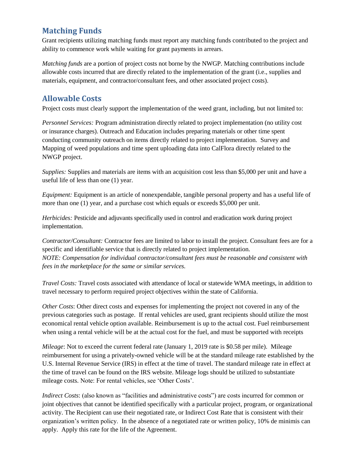### **Matching Funds**

Grant recipients utilizing matching funds must report any matching funds contributed to the project and ability to commence work while waiting for grant payments in arrears.

*Matching funds* are a portion of project costs not borne by the NWGP. Matching contributions include allowable costs incurred that are directly related to the implementation of the grant (i.e., supplies and materials, equipment, and contractor/consultant fees, and other associated project costs).

### **Allowable Costs**

Project costs must clearly support the implementation of the weed grant, including, but not limited to:

*Personnel Services:* Program administration directly related to project implementation (no utility cost or insurance charges). Outreach and Education includes preparing materials or other time spent conducting community outreach on items directly related to project implementation. Survey and Mapping of weed populations and time spent uploading data into CalFlora directly related to the NWGP project.

*Supplies:* Supplies and materials are items with an acquisition cost less than \$5,000 per unit and have a useful life of less than one (1) year.

*Equipment:* Equipment is an article of nonexpendable, tangible personal property and has a useful life of more than one (1) year, and a purchase cost which equals or exceeds \$5,000 per unit.

*Herbicides:* Pesticide and adjuvants specifically used in control and eradication work during project implementation.

*Contractor/Consultant:* Contractor fees are limited to labor to install the project. Consultant fees are for a specific and identifiable service that is directly related to project implementation. *NOTE: Compensation for individual contractor/consultant fees must be reasonable and consistent with fees in the marketplace for the same or similar services.*

*Travel Costs:* Travel costs associated with attendance of local or statewide WMA meetings, in addition to travel necessary to perform required project objectives within the state of California.

*Other Costs*: Other direct costs and expenses for implementing the project not covered in any of the previous categories such as postage. If rental vehicles are used, grant recipients should utilize the most economical rental vehicle option available. Reimbursement is up to the actual cost. Fuel reimbursement when using a rental vehicle will be at the actual cost for the fuel, and must be supported with receipts

*Mileage*: Not to exceed the current federal rate (January 1, 2019 rate is \$0.58 per mile). Mileage reimbursement for using a privately-owned vehicle will be at the standard mileage rate established by the U.S. Internal Revenue Service (IRS) in effect at the time of travel. The standard mileage rate in effect at the time of travel can be found on the IRS website. Mileage logs should be utilized to substantiate mileage costs. Note: For rental vehicles, see 'Other Costs'.

*Indirect Costs*: (also known as "facilities and administrative costs") are costs incurred for common or joint objectives that cannot be identified specifically with a particular project, program, or organizational activity. The Recipient can use their negotiated rate, or Indirect Cost Rate that is consistent with their organization's written policy. In the absence of a negotiated rate or written policy, 10% de minimis can apply. Apply this rate for the life of the Agreement.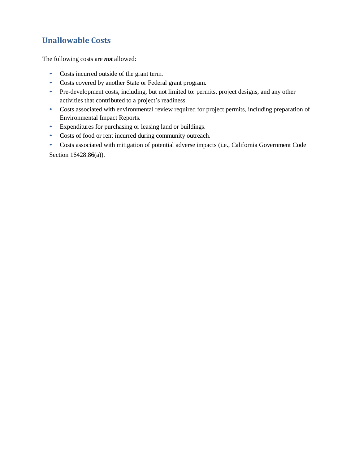## **Unallowable Costs**

The following costs are *not* allowed:

- Costs incurred outside of the grant term.
- Costs covered by another State or Federal grant program.
- Pre-development costs, including, but not limited to: permits, project designs, and any other activities that contributed to a project's readiness.
- Costs associated with environmental review required for project permits, including preparation of Environmental Impact Reports.
- Expenditures for purchasing or leasing land or buildings.
- Costs of food or rent incurred during community outreach.
- Costs associated with mitigation of potential adverse impacts (i.e., California Government Code Section 16428.86(a)).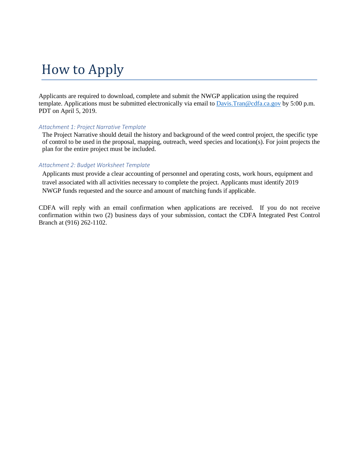## How to Apply

Applicants are required to download, complete and submit the NWGP application using the required template. Applications must be submitted electronically via email to [Davis.Tran@cdfa.ca.gov](mailto:Davis.Tran@cdfa.ca.gov) by 5:00 p.m. PDT on April 5, 2019.

#### *Attachment 1: Project Narrative Template*

The Project Narrative should detail the history and background of the weed control project, the specific type of control to be used in the proposal, mapping, outreach, weed species and location(s). For joint projects the plan for the entire project must be included.

#### *Attachment 2: Budget Worksheet Template*

Applicants must provide a clear accounting of personnel and operating costs, work hours, equipment and travel associated with all activities necessary to complete the project. Applicants must identify 2019 NWGP funds requested and the source and amount of matching funds if applicable.

CDFA will reply with an email confirmation when applications are received. If you do not receive confirmation within two (2) business days of your submission, contact the CDFA Integrated Pest Control Branch at (916) 262-1102.